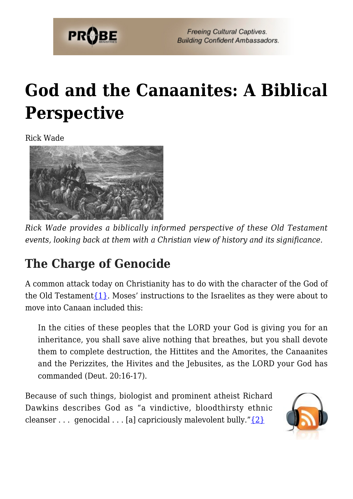

# **[God and the Canaanites: A Biblical](https://probe.org/god-and-the-canaanites/) [Perspective](https://probe.org/god-and-the-canaanites/)**

Rick Wade



*Rick Wade provides a biblically informed perspective of these Old Testament events, looking back at them with a Christian view of history and its significance.*

# **The Charge of Genocide**

A common attack today on Christianity has to do with the character of the God of the Old Testament  $\{1\}$ . Moses' instructions to the Israelites as they were about to move into Canaan included this:

In the cities of these peoples that the LORD your God is giving you for an inheritance, you shall save alive nothing that breathes, but you shall devote them to complete destruction, the Hittites and the Amorites, the Canaanites and the Perizzites, the Hivites and the Jebusites, as the LORD your God has commanded (Deut. 20:16-17).

Because of such things, biologist and prominent atheist Richard Dawkins describes God as "a vindictive, bloodthirsty ethnic cleanser . . . genocidal . . . [a] capriciously malevolent bully." $\{2\}$ 

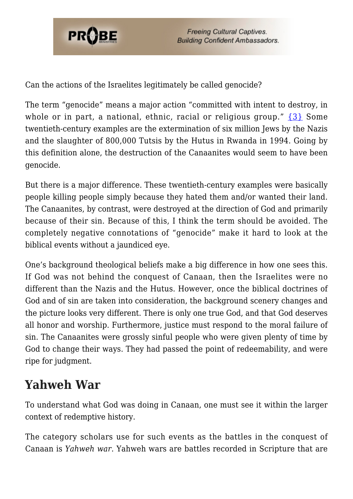

**Freeing Cultural Captives. Building Confident Ambassadors.** 

Can the actions of the Israelites legitimately be called genocide?

The term "genocide" means a major action "committed with intent to destroy, in whole or in part, a national, ethnic, racial or religious group." [{3}](#page--1-0) Some twentieth-century examples are the extermination of six million Jews by the Nazis and the slaughter of 800,000 Tutsis by the Hutus in Rwanda in 1994. Going by this definition alone, the destruction of the Canaanites would seem to have been genocide.

But there is a major difference. These twentieth-century examples were basically people killing people simply because they hated them and/or wanted their land. The Canaanites, by contrast, were destroyed at the direction of God and primarily because of their sin. Because of this, I think the term should be avoided. The completely negative connotations of "genocide" make it hard to look at the biblical events without a jaundiced eye.

One's background theological beliefs make a big difference in how one sees this. If God was not behind the conquest of Canaan, then the Israelites were no different than the Nazis and the Hutus. However, once the biblical doctrines of God and of sin are taken into consideration, the background scenery changes and the picture looks very different. There is only one true God, and that God deserves all honor and worship. Furthermore, justice must respond to the moral failure of sin. The Canaanites were grossly sinful people who were given plenty of time by God to change their ways. They had passed the point of redeemability, and were ripe for judgment.

### **Yahweh War**

To understand what God was doing in Canaan, one must see it within the larger context of redemptive history.

The category scholars use for such events as the battles in the conquest of Canaan is *Yahweh war*. Yahweh wars are battles recorded in Scripture that are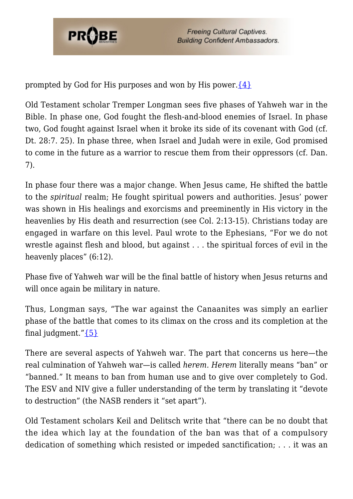

prompted by God for His purposes and won by His power. $\{4\}$ 

Old Testament scholar Tremper Longman sees five phases of Yahweh war in the Bible. In phase one, God fought the flesh-and-blood enemies of Israel. In phase two, God fought against Israel when it broke its side of its covenant with God (cf. Dt. 28:7. 25). In phase three, when Israel and Judah were in exile, God promised to come in the future as a warrior to rescue them from their oppressors (cf. Dan. 7).

In phase four there was a major change. When Jesus came, He shifted the battle to the *spiritual* realm; He fought spiritual powers and authorities. Jesus' power was shown in His healings and exorcisms and preeminently in His victory in the heavenlies by His death and resurrection (see Col. 2:13-15). Christians today are engaged in warfare on this level. Paul wrote to the Ephesians, "For we do not wrestle against flesh and blood, but against . . . the spiritual forces of evil in the heavenly places" (6:12).

Phase five of Yahweh war will be the final battle of history when Jesus returns and will once again be military in nature.

Thus, Longman says, "The war against the Canaanites was simply an earlier phase of the battle that comes to its climax on the cross and its completion at the final judgment." $\{5\}$ 

There are several aspects of Yahweh war. The part that concerns us here—the real culmination of Yahweh war—is called *herem. Herem* literally means "ban" or "banned." It means to ban from human use and to give over completely to God. The ESV and NIV give a fuller understanding of the term by translating it "devote to destruction" (the NASB renders it "set apart").

Old Testament scholars Keil and Delitsch write that "there can be no doubt that the idea which lay at the foundation of the ban was that of a compulsory dedication of something which resisted or impeded sanctification; . . . it was an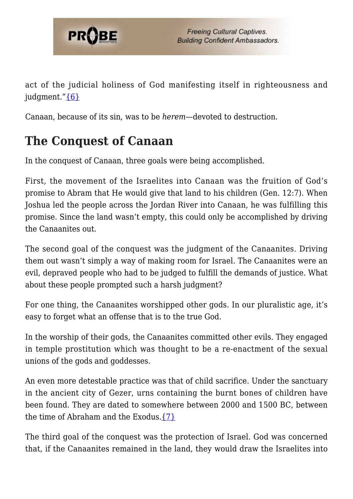

act of the judicial holiness of God manifesting itself in righteousness and judgment.["{6}](#page--1-0)

Canaan, because of its sin, was to be *herem*—devoted to destruction.

## **The Conquest of Canaan**

In the conquest of Canaan, three goals were being accomplished.

First, the movement of the Israelites into Canaan was the fruition of God's promise to Abram that He would give that land to his children (Gen. 12:7). When Joshua led the people across the Jordan River into Canaan, he was fulfilling this promise. Since the land wasn't empty, this could only be accomplished by driving the Canaanites out.

The second goal of the conquest was the judgment of the Canaanites. Driving them out wasn't simply a way of making room for Israel. The Canaanites were an evil, depraved people who had to be judged to fulfill the demands of justice. What about these people prompted such a harsh judgment?

For one thing, the Canaanites worshipped other gods. In our pluralistic age, it's easy to forget what an offense that is to the true God.

In the worship of their gods, the Canaanites committed other evils. They engaged in temple prostitution which was thought to be a re-enactment of the sexual unions of the gods and goddesses.

An even more detestable practice was that of child sacrifice. Under the sanctuary in the ancient city of Gezer, urns containing the burnt bones of children have been found. They are dated to somewhere between 2000 and 1500 BC, between the time of Abraham and the Exodus. $\{7\}$ 

The third goal of the conquest was the protection of Israel. God was concerned that, if the Canaanites remained in the land, they would draw the Israelites into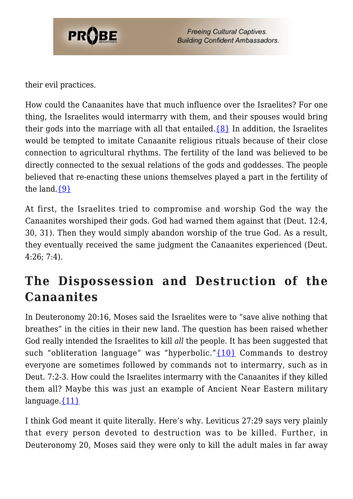

their evil practices.

How could the Canaanites have that much influence over the Israelites? For one thing, the Israelites would intermarry with them, and their spouses would bring their gods into the marriage with all that entailed. $\{8\}$  In addition, the Israelites would be tempted to imitate Canaanite religious rituals because of their close connection to agricultural rhythms. The fertility of the land was believed to be directly connected to the sexual relations of the gods and goddesses. The people believed that re-enacting these unions themselves played a part in the fertility of the land. $\{9\}$ 

At first, the Israelites tried to compromise and worship God the way the Canaanites worshiped their gods. God had warned them against that (Deut. 12:4, 30, 31). Then they would simply abandon worship of the true God. As a result, they eventually received the same judgment the Canaanites experienced (Deut. 4:26; 7:4).

## **The Dispossession and Destruction of the Canaanites**

In Deuteronomy 20:16, Moses said the Israelites were to "save alive nothing that breathes" in the cities in their new land. The question has been raised whether God really intended the Israelites to kill *all* the people. It has been suggested that such "obliteration language" was "hyperbolic." $\{10\}$  Commands to destroy everyone are sometimes followed by commands not to intermarry, such as in Deut. 7:2-3. How could the Israelites intermarry with the Canaanites if they killed them all? Maybe this was just an example of Ancient Near Eastern military language. ${11}$ 

I think God meant it quite literally. Here's why. Leviticus 27:29 says very plainly that every person devoted to destruction was to be killed. Further, in Deuteronomy 20, Moses said they were only to kill the adult males in far away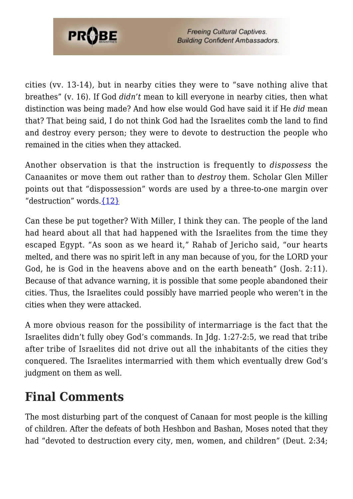

cities (vv. 13-14), but in nearby cities they were to "save nothing alive that breathes" (v. 16). If God *didn't* mean to kill everyone in nearby cities, then what distinction was being made? And how else would God have said it if He *did* mean that? That being said, I do not think God had the Israelites comb the land to find and destroy every person; they were to devote to destruction the people who remained in the cities when they attacked.

Another observation is that the instruction is frequently to *dispossess* the Canaanites or move them out rather than to *destroy* them. Scholar Glen Miller points out that "dispossession" words are used by a three-to-one margin over "destruction" words.[{12}](#page--1-0)

Can these be put together? With Miller, I think they can. The people of the land had heard about all that had happened with the Israelites from the time they escaped Egypt. "As soon as we heard it," Rahab of Jericho said, "our hearts melted, and there was no spirit left in any man because of you, for the LORD your God, he is God in the heavens above and on the earth beneath" (Josh. 2:11). Because of that advance warning, it is possible that some people abandoned their cities. Thus, the Israelites could possibly have married people who weren't in the cities when they were attacked.

A more obvious reason for the possibility of intermarriage is the fact that the Israelites didn't fully obey God's commands. In Jdg. 1:27-2:5, we read that tribe after tribe of Israelites did not drive out all the inhabitants of the cities they conquered. The Israelites intermarried with them which eventually drew God's judgment on them as well.

### **Final Comments**

The most disturbing part of the conquest of Canaan for most people is the killing of children. After the defeats of both Heshbon and Bashan, Moses noted that they had "devoted to destruction every city, men, women, and children" (Deut. 2:34;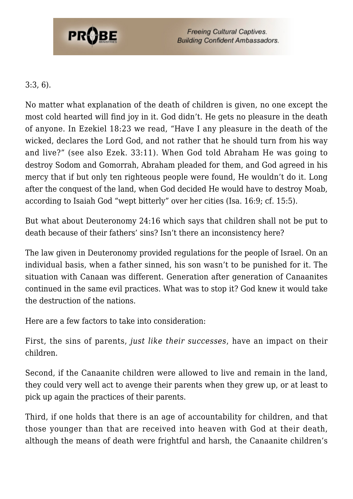

#### 3:3, 6).

No matter what explanation of the death of children is given, no one except the most cold hearted will find joy in it. God didn't. He gets no pleasure in the death of anyone. In Ezekiel 18:23 we read, "Have I any pleasure in the death of the wicked, declares the Lord God, and not rather that he should turn from his way and live?" (see also Ezek. 33:11). When God told Abraham He was going to destroy Sodom and Gomorrah, Abraham pleaded for them, and God agreed in his mercy that if but only ten righteous people were found, He wouldn't do it. Long after the conquest of the land, when God decided He would have to destroy Moab, according to Isaiah God "wept bitterly" over her cities (Isa. 16:9; cf. 15:5).

But what about Deuteronomy 24:16 which says that children shall not be put to death because of their fathers' sins? Isn't there an inconsistency here?

The law given in Deuteronomy provided regulations for the people of Israel. On an individual basis, when a father sinned, his son wasn't to be punished for it. The situation with Canaan was different. Generation after generation of Canaanites continued in the same evil practices. What was to stop it? God knew it would take the destruction of the nations.

Here are a few factors to take into consideration:

First, the sins of parents, *just like their successes*, have an impact on their children.

Second, if the Canaanite children were allowed to live and remain in the land, they could very well act to avenge their parents when they grew up, or at least to pick up again the practices of their parents.

Third, if one holds that there is an age of accountability for children, and that those younger than that are received into heaven with God at their death, although the means of death were frightful and harsh, the Canaanite children's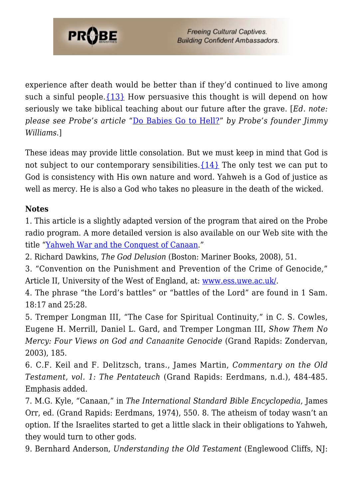

experience after death would be better than if they'd continued to live among such a sinful people.  $\{13\}$  How persuasive this thought is will depend on how seriously we take biblical teaching about our future after the grave. [*Ed. note: please see Probe's article* "[Do Babies Go to Hell?](http://www.probe.org/site/c.fdKEIMNsEoG/b.4220349/k.5C9C/Do_Babies_Go_to_Hell.htm)" *by Probe's founder Jimmy Williams*.]

These ideas may provide little consolation. But we must keep in mind that God is not subject to our contemporary sensibilities.[{14}](#page--1-0) The only test we can put to God is consistency with His own nature and word. Yahweh is a God of justice as well as mercy. He is also a God who takes no pleasure in the death of the wicked.

#### **Notes**

1. This article is a slightly adapted version of the program that aired on the Probe radio program. A more detailed version is also available on our Web site with the title ["Yahweh War and the Conquest of Canaan.](https://www.probe.org/yahweh-war-and-the-conquest-of-canaan/)"

2. Richard Dawkins, *The God Delusion* (Boston: Mariner Books, 2008), 51.

3. "Convention on the Punishment and Prevention of the Crime of Genocide," Article II, University of the West of England, at: [www.ess.uwe.ac.uk/](http://www.ess.uwe.ac.uk/).

4. The phrase "the Lord's battles" or "battles of the Lord" are found in 1 Sam. 18:17 and 25:28.

5. Tremper Longman III, "The Case for Spiritual Continuity," in C. S. Cowles, Eugene H. Merrill, Daniel L. Gard, and Tremper Longman III, *Show Them No Mercy: Four Views on God and Canaanite Genocide* (Grand Rapids: Zondervan, 2003), 185.

6. C.F. Keil and F. Delitzsch, trans., James Martin, *Commentary on the Old Testament, vol. 1: The Pentateuch* (Grand Rapids: Eerdmans, n.d.), 484-485. Emphasis added.

7. M.G. Kyle, "Canaan," in *The International Standard Bible Encyclopedia*, James Orr, ed. (Grand Rapids: Eerdmans, 1974), 550. 8. The atheism of today wasn't an option. If the Israelites started to get a little slack in their obligations to Yahweh, they would turn to other gods.

9. Bernhard Anderson, *Understanding the Old Testament* (Englewood Cliffs, NJ: